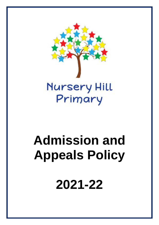

# **Admission and Appeals Policy**

**2021-22**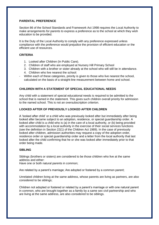#### **PARENTAL PREFERENCE**

Section 86 of the School Standards and Framework Act 1998 requires the Local Authority to make arrangements for parents to express a preference as to the school at which they wish education to be provided.

It is the Duty of the Local Authority to comply with any preference expressed unless compliance with the preference would prejudice the provision of efficient education or the efficient use of resources.

## **CRITERIA**

- 1. Looked after Children (In Public Care).
- 2. Children of staff who are employed at Nursery Hill Primary School
- 3. Children with a brother or sister already at the school who will still be in attendance.
- 4. Children who live nearest the school:
- Within each of these categories, priority is given to those who live nearest the school, calculated on the basis of a straight-line measurement between home and school.

#### **CHILDREN WITH A STATEMENT OF SPECIAL EDUCATIONAL NEEDS**

Any child with a statement of special educational needs is required to be admitted to the school that is named in the statement. This gives such children overall priority for admission to the named school. This is not an oversubscription criterion.

#### **LOOKED AFTER OF PREVIOUSLY LOOKED AFTER CHILDREN**

A 'looked after child' or a child who was previously looked after but immediately after being looked after became subject to an adoption, residence, or special guardianship order. A looked after child is a child who is (a) in the care of a local authority, or (b) being provided with accommodation by a local authority in the exercise of their social services functions (see the definition in Section 22(1) of the Children Act 1989). In the case of previously looked after children, admission authorities may request a copy of the adoption order, residence order or special guardianship order and a letter from the local authority that last looked after the child confirming that he or she was looked after immediately prior to that order being made.

#### **SIBLING**

Siblings (brothers or sisters) are considered to be those children who live at the same address and either:

Have one or both natural parents in common;

Are related by a parent's marriage; Are adopted or fostered by a common parent;

Unrelated children living at the same address, whose parents are living as partners, are also considered to be siblings;

Children not adopted or fostered or related by a parent's marriage or with one natural parent in common, who are brought together as a family by a same sex civil partnership and who are living at the same address, are also considered to be siblings.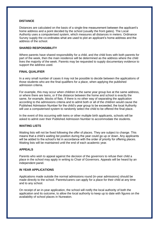#### **DISTANCE**

Distances are calculated on the basis of a single-line measurement between the applicant's home address and a point decided by the school (usually the front gates). The Local Authority uses a computerised system, which measures all distances in meters. Ordinance Survey supply the co-ordinates what are used to plot an applicant's home address and the address of the school.

#### **SHARED RESPONSIBILITY**

Where parents have shared responsibility for a child, and the child lives with both parents for part of the week, then the main residence will be determined as the address where the child lives the majority of the week. Parents may be requested to supply documentary evidence to support the address used.

#### **FINAL QUALIFIER**

In a very small number of cases it may not be possible to decide between the applications of those students who are the final qualifiers for a place, when applying the published admission criteria.

For example, this may occur when children in the same year group live at the same address, or where there are twins, or if the distance between the home and school is exactly the same, for example, blocks of flats. If there is no other way of separating the application according to the admissions criteria and to admit both or all of the children would cause the Published Admission Number for the child's year group to be exceeded, the local Authority will use a computerised system to randomly select the child to be offered the final place.

In the event of this occurring with twins or other multiple birth applicants, schools will be asked to admit over their Published Admission Number to accommodate the students.

#### **WAITING LISTS**

Waiting lists will not be fixed following the offer of places. They are subject to change. This means that a child's waiting list position during the year could go up or down. Any applicants will be added to the school's list in accordance with the order of priority for offering places. Waiting lists will be maintained until the end of each academic year.

### **APPEALS**

Parents who wish to appeal against the decision of the governors to refuse their child a place in the school may apply in writing to Chair of Governors. Appeals will be heard by an independent panel.

#### **IN YEAR APPLICATIONS**

Applications made outside the normal admissions round (in-year admissions) should be made directly to the school. Parents/carers can apply for a place for their child at any time and to any school.

On receipt of an in-year application, the school will notify the local authority of both the application and its outcome, to allow the local authority to keep up to date with figures on the availability of school places in Nuneaton.